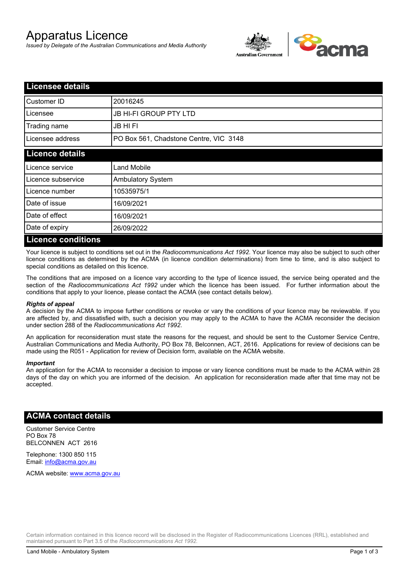# Apparatus Licence

*Issued by Delegate of the Australian Communications and Media Authority*



| <b>Licensee details</b>   |                                        |  |
|---------------------------|----------------------------------------|--|
| Customer ID               | 20016245                               |  |
| Licensee                  | JB HI-FI GROUP PTY LTD                 |  |
| Trading name              | <b>JB HIFI</b>                         |  |
| Licensee address          | PO Box 561, Chadstone Centre, VIC 3148 |  |
| <b>Licence details</b>    |                                        |  |
| Licence service           | <b>Land Mobile</b>                     |  |
| Licence subservice        | <b>Ambulatory System</b>               |  |
| Licence number            | 10535975/1                             |  |
| Date of issue             | 16/09/2021                             |  |
| Date of effect            | 16/09/2021                             |  |
| Date of expiry            | 26/09/2022                             |  |
| <b>Licence conditions</b> |                                        |  |

Your licence is subject to conditions set out in the *Radiocommunications Act 1992*. Your licence may also be subject to such other licence conditions as determined by the ACMA (in licence condition determinations) from time to time, and is also subject to special conditions as detailed on this licence.

The conditions that are imposed on a licence vary according to the type of licence issued, the service being operated and the section of the *Radiocommunications Act 1992* under which the licence has been issued. For further information about the conditions that apply to your licence, please contact the ACMA (see contact details below).

### *Rights of appeal*

A decision by the ACMA to impose further conditions or revoke or vary the conditions of your licence may be reviewable. If you are affected by, and dissatisfied with, such a decision you may apply to the ACMA to have the ACMA reconsider the decision under section 288 of the *Radiocommunications Act 1992*.

An application for reconsideration must state the reasons for the request, and should be sent to the Customer Service Centre, Australian Communications and Media Authority, PO Box 78, Belconnen, ACT, 2616. Applications for review of decisions can be made using the R051 - Application for review of Decision form, available on the ACMA website.

#### *Important*

An application for the ACMA to reconsider a decision to impose or vary licence conditions must be made to the ACMA within 28 days of the day on which you are informed of the decision. An application for reconsideration made after that time may not be accepted.

### **ACMA contact details**

Customer Service Centre PO Box 78 BELCONNEN ACT 2616

Telephone: 1300 850 115 Email: info@acma.gov.au

ACMA website: www.acma.gov.au

Certain information contained in this licence record will be disclosed in the Register of Radiocommunications Licences (RRL), established and maintained pursuant to Part 3.5 of the *Radiocommunications Act 1992.*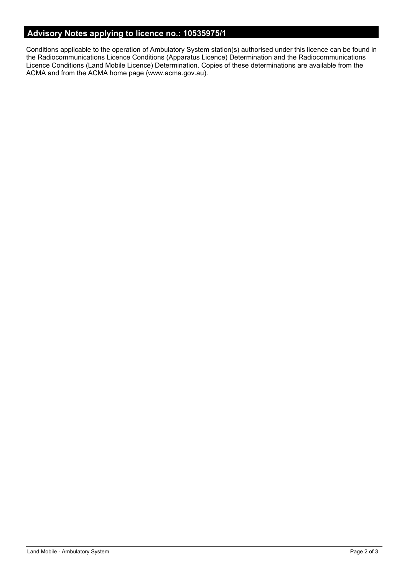# **Advisory Notes applying to licence no.: 10535975/1**

Conditions applicable to the operation of Ambulatory System station(s) authorised under this licence can be found in the Radiocommunications Licence Conditions (Apparatus Licence) Determination and the Radiocommunications Licence Conditions (Land Mobile Licence) Determination. Copies of these determinations are available from the ACMA and from the ACMA home page (www.acma.gov.au).